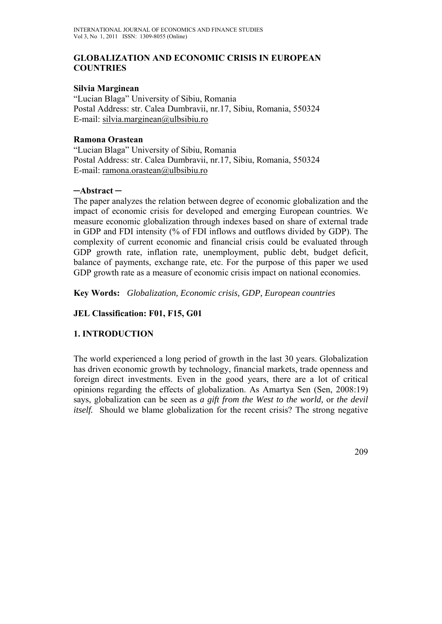### **GLOBALIZATION AND ECONOMIC CRISIS IN EUROPEAN COUNTRIES**

### **Silvia Marginean**

"Lucian Blaga" University of Sibiu, Romania Postal Address: str. Calea Dumbravii, nr.17, Sibiu, Romania, 550324 E-mail: silvia.marginean $@$ ulbsibiu.ro

#### **Ramona Orastean**

"Lucian Blaga" University of Sibiu, Romania Postal Address: str. Calea Dumbravii, nr.17, Sibiu, Romania, 550324 E-mail: ramona.orastean@ulbsibiu.ro

### **─Abstract ─**

The paper analyzes the relation between degree of economic globalization and the impact of economic crisis for developed and emerging European countries. We measure economic globalization through indexes based on share of external trade in GDP and FDI intensity (% of FDI inflows and outflows divided by GDP). The complexity of current economic and financial crisis could be evaluated through GDP growth rate, inflation rate, unemployment, public debt, budget deficit, balance of payments, exchange rate, etc. For the purpose of this paper we used GDP growth rate as a measure of economic crisis impact on national economies.

**Key Words:** *Globalization, Economic crisis, GDP, European countries* 

## **JEL Classification: F01, F15, G01**

## **1. INTRODUCTION**

The world experienced a long period of growth in the last 30 years. Globalization has driven economic growth by technology, financial markets, trade openness and foreign direct investments. Even in the good years, there are a lot of critical opinions regarding the effects of globalization. As Amartya Sen (Sen, 2008:19) says, globalization can be seen as *a gift from the West to the world,* or *the devil itself.* Should we blame globalization for the recent crisis? The strong negative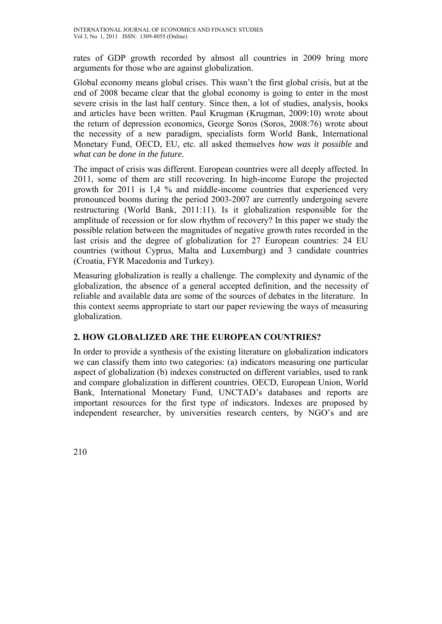rates of GDP growth recorded by almost all countries in 2009 bring more arguments for those who are against globalization.

Global economy means global crises. This wasn't the first global crisis, but at the end of 2008 became clear that the global economy is going to enter in the most severe crisis in the last half century. Since then, a lot of studies, analysis, books and articles have been written. Paul Krugman (Krugman, 2009:10) wrote about the return of depression economics*,* George Soros (Soros, 2008:76) wrote about the necessity of a new paradigm, specialists form World Bank, International Monetary Fund, OECD, EU, etc. all asked themselves *how was it possible* and *what can be done in the future.* 

The impact of crisis was different. European countries were all deeply affected. In 2011, some of them are still recovering. In high-income Europe the projected growth for 2011 is 1,4 % and middle-income countries that experienced very pronounced booms during the period 2003-2007 are currently undergoing severe restructuring (World Bank, 2011:11). Is it globalization responsible for the amplitude of recession or for slow rhythm of recovery? In this paper we study the possible relation between the magnitudes of negative growth rates recorded in the last crisis and the degree of globalization for 27 European countries: 24 EU countries (without Cyprus, Malta and Luxemburg) and 3 candidate countries (Croatia, FYR Macedonia and Turkey).

Measuring globalization is really a challenge. The complexity and dynamic of the globalization, the absence of a general accepted definition, and the necessity of reliable and available data are some of the sources of debates in the literature. In this context seems appropriate to start our paper reviewing the ways of measuring globalization.

# **2. HOW GLOBALIZED ARE THE EUROPEAN COUNTRIES?**

In order to provide a synthesis of the existing literature on globalization indicators we can classify them into two categories: (a) indicators measuring one particular aspect of globalization (b) indexes constructed on different variables, used to rank and compare globalization in different countries. OECD, European Union, World Bank, International Monetary Fund, UNCTAD's databases and reports are important resources for the first type of indicators. Indexes are proposed by independent researcher, by universities research centers, by NGO's and are

210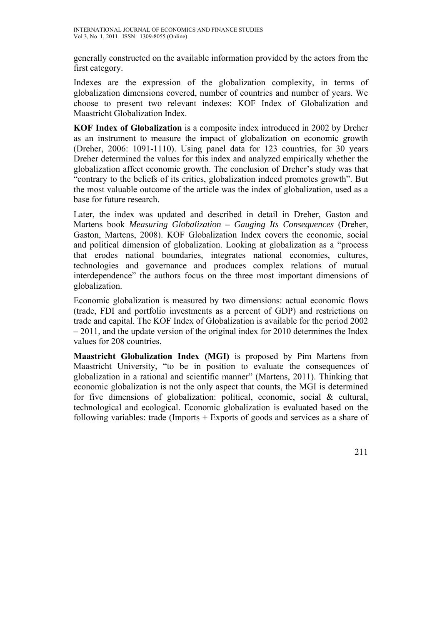generally constructed on the available information provided by the actors from the first category.

Indexes are the expression of the globalization complexity, in terms of globalization dimensions covered, number of countries and number of years. We choose to present two relevant indexes: KOF Index of Globalization and Maastricht Globalization Index.

**KOF Index of Globalization** is a composite index introduced in 2002 by Dreher as an instrument to measure the impact of globalization on economic growth (Dreher, 2006: 1091-1110). Using panel data for 123 countries, for 30 years Dreher determined the values for this index and analyzed empirically whether the globalization affect economic growth. The conclusion of Dreher's study was that "contrary to the beliefs of its critics, globalization indeed promotes growth". But the most valuable outcome of the article was the index of globalization, used as a base for future research.

Later, the index was updated and described in detail in Dreher, Gaston and Martens book *Measuring Globalization – Gauging Its Consequences* (Dreher, Gaston, Martens, 2008). KOF Globalization Index covers the economic, social and political dimension of globalization. Looking at globalization as a "process that erodes national boundaries, integrates national economies, cultures, technologies and governance and produces complex relations of mutual interdependence" the authors focus on the three most important dimensions of globalization.

Economic globalization is measured by two dimensions: actual economic flows (trade, FDI and portfolio investments as a percent of GDP) and restrictions on trade and capital. The KOF Index of Globalization is available for the period 2002 – 2011, and the update version of the original index for 2010 determines the Index values for 208 countries.

**Maastricht Globalization Index (MGI)** is proposed by Pim Martens from Maastricht University, "to be in position to evaluate the consequences of globalization in a rational and scientific manner" (Martens, 2011). Thinking that economic globalization is not the only aspect that counts, the MGI is determined for five dimensions of globalization: political, economic, social & cultural, technological and ecological. Economic globalization is evaluated based on the following variables: trade (Imports + Exports of goods and services as a share of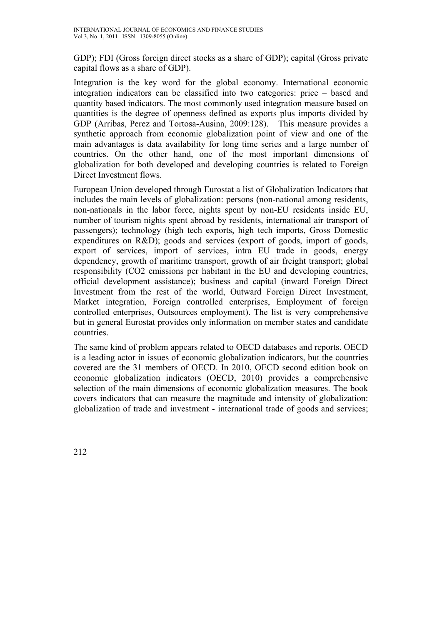GDP); FDI (Gross foreign direct stocks as a share of GDP); capital (Gross private capital flows as a share of GDP).

Integration is the key word for the global economy. International economic integration indicators can be classified into two categories: price – based and quantity based indicators. The most commonly used integration measure based on quantities is the degree of openness defined as exports plus imports divided by GDP (Arribas, Perez and Tortosa-Ausina, 2009:128). This measure provides a synthetic approach from economic globalization point of view and one of the main advantages is data availability for long time series and a large number of countries. On the other hand, one of the most important dimensions of globalization for both developed and developing countries is related to Foreign Direct Investment flows.

European Union developed through Eurostat a list of Globalization Indicators that includes the main levels of globalization: persons (non-national among residents, non-nationals in the labor force, nights spent by non-EU residents inside EU, number of tourism nights spent abroad by residents, international air transport of passengers); technology (high tech exports, high tech imports, Gross Domestic expenditures on R&D); goods and services (export of goods, import of goods, export of services, import of services, intra EU trade in goods, energy dependency, growth of maritime transport, growth of air freight transport; global responsibility (CO2 emissions per habitant in the EU and developing countries, official development assistance); business and capital (inward Foreign Direct Investment from the rest of the world, Outward Foreign Direct Investment, Market integration, Foreign controlled enterprises, Employment of foreign controlled enterprises, Outsources employment). The list is very comprehensive but in general Eurostat provides only information on member states and candidate countries.

The same kind of problem appears related to OECD databases and reports. OECD is a leading actor in issues of economic globalization indicators, but the countries covered are the 31 members of OECD. In 2010, OECD second edition book on economic globalization indicators (OECD, 2010) provides a comprehensive selection of the main dimensions of economic globalization measures. The book covers indicators that can measure the magnitude and intensity of globalization: globalization of trade and investment - international trade of goods and services;

212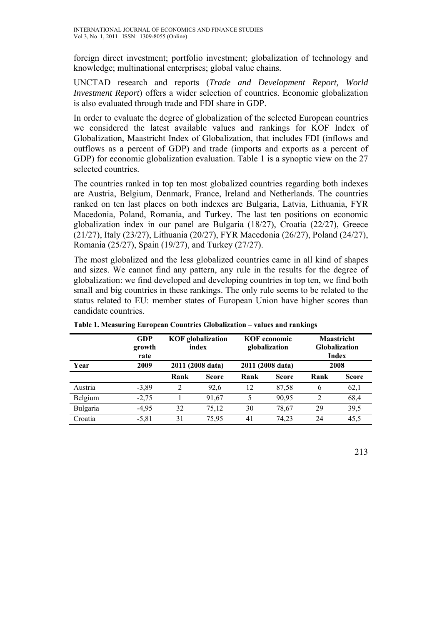foreign direct investment; portfolio investment; globalization of technology and knowledge; multinational enterprises; global value chains.

UNCTAD research and reports (*Trade and Development Report, World Investment Report*) offers a wider selection of countries. Economic globalization is also evaluated through trade and FDI share in GDP.

In order to evaluate the degree of globalization of the selected European countries we considered the latest available values and rankings for KOF Index of Globalization, Maastricht Index of Globalization, that includes FDI (inflows and outflows as a percent of GDP) and trade (imports and exports as a percent of GDP) for economic globalization evaluation. Table 1 is a synoptic view on the 27 selected countries.

The countries ranked in top ten most globalized countries regarding both indexes are Austria, Belgium, Denmark, France, Ireland and Netherlands. The countries ranked on ten last places on both indexes are Bulgaria, Latvia, Lithuania, FYR Macedonia, Poland, Romania, and Turkey. The last ten positions on economic globalization index in our panel are Bulgaria (18/27), Croatia (22/27), Greece (21/27), Italy (23/27), Lithuania (20/27), FYR Macedonia (26/27), Poland (24/27), Romania (25/27), Spain (19/27), and Turkey (27/27).

The most globalized and the less globalized countries came in all kind of shapes and sizes. We cannot find any pattern, any rule in the results for the degree of globalization: we find developed and developing countries in top ten, we find both small and big countries in these rankings. The only rule seems to be related to the status related to EU: member states of European Union have higher scores than candidate countries.

|          | <b>GDP</b><br>growth<br>rate |      | <b>KOF</b> globalization<br>index | <b>KOF</b> economic<br>globalization |              | <b>Maastricht</b><br><b>Globalization</b><br>Index |              |
|----------|------------------------------|------|-----------------------------------|--------------------------------------|--------------|----------------------------------------------------|--------------|
| Year     | 2009                         |      | 2011 (2008 data)                  | 2011 (2008 data)                     |              | 2008                                               |              |
|          |                              | Rank | <b>Score</b>                      | Rank                                 | <b>Score</b> | Rank                                               | <b>Score</b> |
| Austria  | $-3,89$                      | 2    | 92,6                              | 12                                   | 87,58        | 6                                                  | 62,1         |
| Belgium  | $-2,75$                      |      | 91,67                             | 5                                    | 90,95        | 2                                                  | 68,4         |
| Bulgaria | $-4,95$                      | 32   | 75,12                             | 30                                   | 78,67        | 29                                                 | 39,5         |
| Croatia  | $-5,81$                      | 31   | 75,95                             | 41                                   | 74,23        | 24                                                 | 45,5         |

**Table 1. Measuring European Countries Globalization – values and rankings**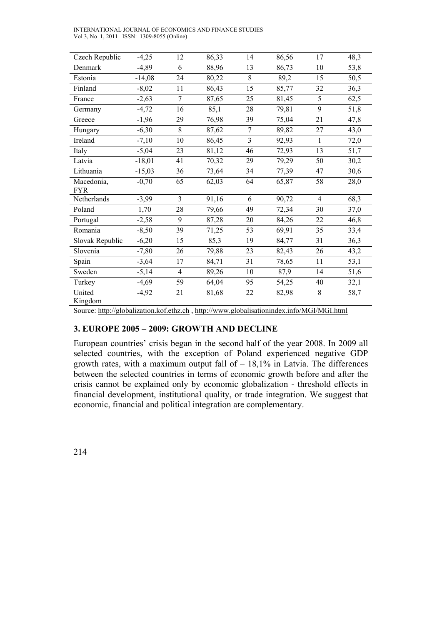INTERNATIONAL JOURNAL OF ECONOMICS AND FINANCE STUDIES Vol 3, No 1, 2011 ISSN: 1309-8055 (Online)

| Czech Republic                                                                                                                                                                                                                                                                         | $-4,25$  | 12             | 86,33 | 14             | 86,56 | 17             | 48,3 |
|----------------------------------------------------------------------------------------------------------------------------------------------------------------------------------------------------------------------------------------------------------------------------------------|----------|----------------|-------|----------------|-------|----------------|------|
| Denmark                                                                                                                                                                                                                                                                                | $-4,89$  | 6              | 88,96 | 13             | 86,73 | 10             | 53,8 |
| Estonia                                                                                                                                                                                                                                                                                | $-14,08$ | 24             | 80,22 | 8              | 89,2  | 15             | 50,5 |
| Finland                                                                                                                                                                                                                                                                                | $-8,02$  | 11             | 86,43 | 15             | 85,77 | 32             | 36,3 |
| France                                                                                                                                                                                                                                                                                 | $-2,63$  | $\overline{7}$ | 87,65 | 25             | 81,45 | 5              | 62,5 |
| Germany                                                                                                                                                                                                                                                                                | $-4,72$  | 16             | 85,1  | 28             | 79,81 | 9              | 51,8 |
| Greece                                                                                                                                                                                                                                                                                 | $-1,96$  | 29             | 76,98 | 39             | 75,04 | 21             | 47,8 |
| Hungary                                                                                                                                                                                                                                                                                | $-6,30$  | 8              | 87,62 | $\tau$         | 89,82 | 27             | 43,0 |
| Ireland                                                                                                                                                                                                                                                                                | $-7,10$  | 10             | 86,45 | $\overline{3}$ | 92,93 | $\mathbf{1}$   | 72,0 |
| Italy                                                                                                                                                                                                                                                                                  | $-5,04$  | 23             | 81,12 | 46             | 72,93 | 13             | 51,7 |
| Latvia                                                                                                                                                                                                                                                                                 | $-18,01$ | 41             | 70,32 | 29             | 79,29 | 50             | 30,2 |
| Lithuania                                                                                                                                                                                                                                                                              | $-15,03$ | 36             | 73,64 | 34             | 77,39 | 47             | 30,6 |
| Macedonia,<br><b>FYR</b>                                                                                                                                                                                                                                                               | $-0,70$  | 65             | 62,03 | 64             | 65,87 | 58             | 28,0 |
| Netherlands                                                                                                                                                                                                                                                                            | $-3,99$  | $\overline{3}$ | 91,16 | 6              | 90,72 | $\overline{4}$ | 68,3 |
| Poland                                                                                                                                                                                                                                                                                 | 1,70     | 28             | 79,66 | 49             | 72,34 | 30             | 37,0 |
| Portugal                                                                                                                                                                                                                                                                               | $-2,58$  | 9              | 87,28 | 20             | 84,26 | 22             | 46,8 |
| Romania                                                                                                                                                                                                                                                                                | $-8,50$  | 39             | 71,25 | 53             | 69,91 | 35             | 33,4 |
| Slovak Republic                                                                                                                                                                                                                                                                        | $-6,20$  | 15             | 85,3  | 19             | 84,77 | 31             | 36,3 |
| Slovenia                                                                                                                                                                                                                                                                               | $-7,80$  | 26             | 79,88 | 23             | 82,43 | 26             | 43,2 |
| Spain                                                                                                                                                                                                                                                                                  | $-3,64$  | 17             | 84,71 | 31             | 78,65 | 11             | 53,1 |
| Sweden                                                                                                                                                                                                                                                                                 | $-5,14$  | $\overline{4}$ | 89,26 | 10             | 87,9  | 14             | 51,6 |
| Turkey                                                                                                                                                                                                                                                                                 | $-4,69$  | 59             | 64,04 | 95             | 54,25 | 40             | 32,1 |
| United<br>Kingdom                                                                                                                                                                                                                                                                      | $-4,92$  | 21             | 81,68 | 22             | 82,98 | 8              | 58,7 |
| $\mathcal{L}_{\text{out}}$ to $\mathcal{L}_{\text{in}}$ the $\mathcal{L}_{\text{in}}$ the last $\mathcal{L}_{\text{out}}$ is the $\mathcal{L}_{\text{out}}$ of $\mathcal{L}_{\text{out}}$ and $\mathcal{L}_{\text{out}}$ and $\mathcal{L}_{\text{out}}$ and $\mathcal{L}_{\text{out}}$ |          |                |       |                |       |                |      |

Source: http://globalization.kof.ethz.ch , http://www.globalisationindex.info/MGI/MGI.html

#### **3. EUROPE 2005 – 2009: GROWTH AND DECLINE**

European countries' crisis began in the second half of the year 2008. In 2009 all selected countries, with the exception of Poland experienced negative GDP growth rates, with a maximum output fall of  $-18,1%$  in Latvia. The differences between the selected countries in terms of economic growth before and after the crisis cannot be explained only by economic globalization - threshold effects in financial development, institutional quality, or trade integration. We suggest that economic, financial and political integration are complementary.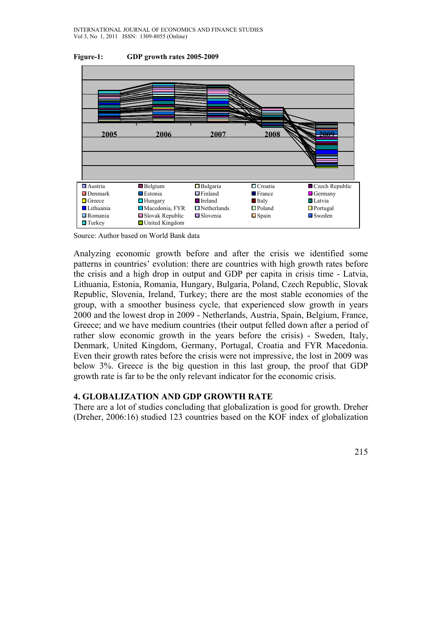



Source: Author based on World Bank data

Analyzing economic growth before and after the crisis we identified some patterns in countries' evolution: there are countries with high growth rates before the crisis and a high drop in output and GDP per capita in crisis time - Latvia, Lithuania, Estonia, Romania, Hungary, Bulgaria, Poland, Czech Republic, Slovak Republic, Slovenia, Ireland, Turkey; there are the most stable economies of the group, with a smoother business cycle, that experienced slow growth in years 2000 and the lowest drop in 2009 - Netherlands, Austria, Spain, Belgium, France, Greece; and we have medium countries (their output felled down after a period of rather slow economic growth in the years before the crisis) - Sweden, Italy, Denmark, United Kingdom, Germany, Portugal, Croatia and FYR Macedonia. Even their growth rates before the crisis were not impressive, the lost in 2009 was below 3%. Greece is the big question in this last group, the proof that GDP growth rate is far to be the only relevant indicator for the economic crisis.

### **4. GLOBALIZATION AND GDP GROWTH RATE**

There are a lot of studies concluding that globalization is good for growth. Dreher (Dreher, 2006:16) studied 123 countries based on the KOF index of globalization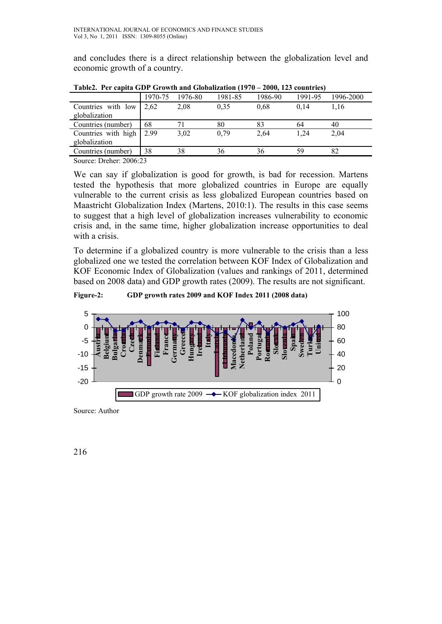and concludes there is a direct relationship between the globalization level and economic growth of a country.

| Tablez. Per capita GDP Growth and Globalization (1970 – 2000, 125 countries) |         |         |         |         |         |           |  |  |
|------------------------------------------------------------------------------|---------|---------|---------|---------|---------|-----------|--|--|
|                                                                              | 1970-75 | 1976-80 | 1981-85 | 1986-90 | 1991-95 | 1996-2000 |  |  |
| Countries with low                                                           | 2.62    | 2,08    | 0.35    | 0.68    | 0.14    | 1.16      |  |  |
| globalization                                                                |         |         |         |         |         |           |  |  |
| Countries (number)                                                           | 68      |         | 80      | 83      | 64      | 40        |  |  |
| Countries with high                                                          | 2.99    | 3,02    | 0.79    | 2,64    | 1.24    | 2.04      |  |  |
| globalization                                                                |         |         |         |         |         |           |  |  |
| Countries (number)                                                           | 38      | 38      | 36      | 36      | 59      | 82        |  |  |
| $\Omega_{\text{average}}$ Ducksm $\Omega$ 006.22                             |         |         |         |         |         |           |  |  |

 $T_{\rm c}$  Clobalization (1070 – 2000, 123

Source: Dreher: 2006:23

We can say if globalization is good for growth, is bad for recession. Martens tested the hypothesis that more globalized countries in Europe are equally vulnerable to the current crisis as less globalized European countries based on Maastricht Globalization Index (Martens, 2010:1). The results in this case seems to suggest that a high level of globalization increases vulnerability to economic crisis and, in the same time, higher globalization increase opportunities to deal with a crisis.

To determine if a globalized country is more vulnerable to the crisis than a less globalized one we tested the correlation between KOF Index of Globalization and KOF Economic Index of Globalization (values and rankings of 2011, determined based on 2008 data) and GDP growth rates (2009). The results are not significant.

**Figure-2: GDP growth rates 2009 and KOF Index 2011 (2008 data)** 



Source: Author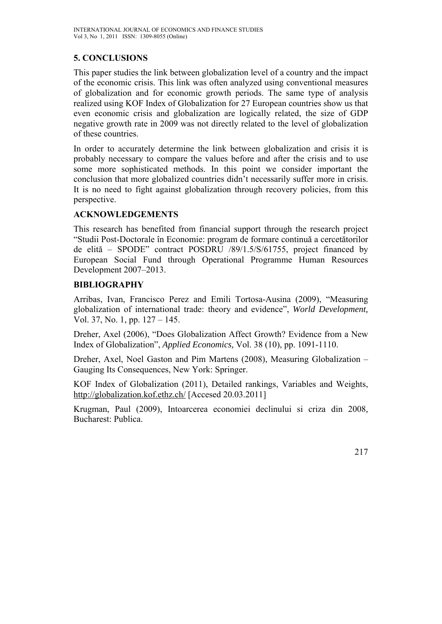# **5. CONCLUSIONS**

This paper studies the link between globalization level of a country and the impact of the economic crisis. This link was often analyzed using conventional measures of globalization and for economic growth periods. The same type of analysis realized using KOF Index of Globalization for 27 European countries show us that even economic crisis and globalization are logically related, the size of GDP negative growth rate in 2009 was not directly related to the level of globalization of these countries.

In order to accurately determine the link between globalization and crisis it is probably necessary to compare the values before and after the crisis and to use some more sophisticated methods. In this point we consider important the conclusion that more globalized countries didn't necessarily suffer more in crisis. It is no need to fight against globalization through recovery policies, from this perspective.

# **ACKNOWLEDGEMENTS**

This research has benefited from financial support through the research project "Studii Post-Doctorale în Economie: program de formare continuă a cercetătorilor de elită – SPODE" contract POSDRU /89/1.5/S/61755, project financed by European Social Fund through Operational Programme Human Resources Development 2007–2013.

# **BIBLIOGRAPHY**

Arribas, Ivan, Francisco Perez and Emili Tortosa-Ausina (2009), "Measuring globalization of international trade: theory and evidence", *World Development,*  Vol. 37, No. 1, pp. 127 – 145.

Dreher, Axel (2006), "Does Globalization Affect Growth? Evidence from a New Index of Globalization", *Applied Economics,* Vol. 38 (10), pp. 1091-1110.

Dreher, Axel, Noel Gaston and Pim Martens (2008), Measuring Globalization – Gauging Its Consequences, New York: Springer.

KOF Index of Globalization (2011), Detailed rankings, Variables and Weights, http://globalization.kof.ethz.ch/ [Accesed 20.03.2011]

Krugman, Paul (2009), Intoarcerea economiei declinului si criza din 2008*,*  Bucharest: Publica.